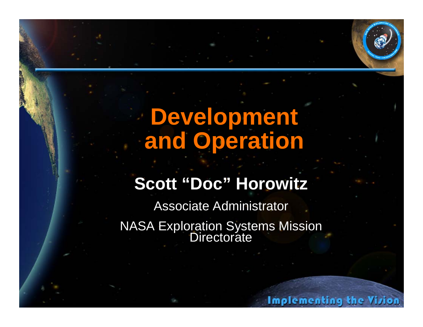# **Development and Operation**

## **Scott "Doc" Horowitz**

Associate Administrator NASA Exploration Systems Mission Directorate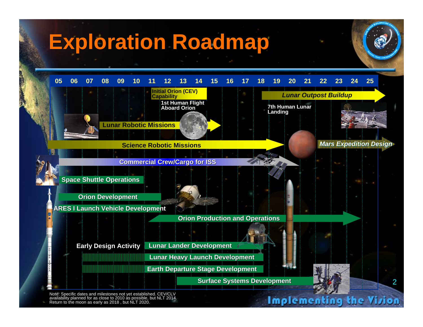# **Exploration Roadmap**



Note: Specific dates and milestones not yet established. CEV/CLV availability planned for as close to 2010 as possible, but NLT 2014. Return to the moon as early as 2018, but NLT 2020.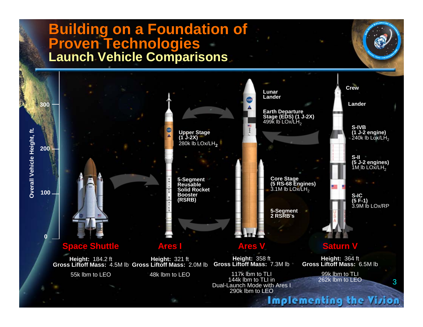### **Building on a Foundation of Building on a Foundation of Proven Technologies Proven Technologies Launch Vehicle Comparisons Launch Vehicle Comparisons**

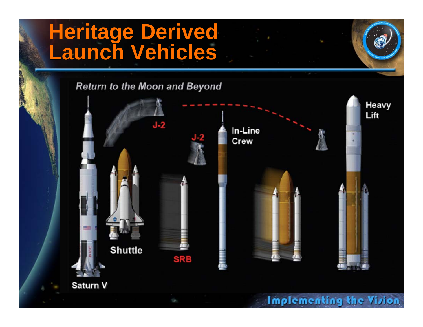#### **Heritage Derived Launch Vehicles Heritage Derived Launch Vehicles**

Return to the Moon and Beyond

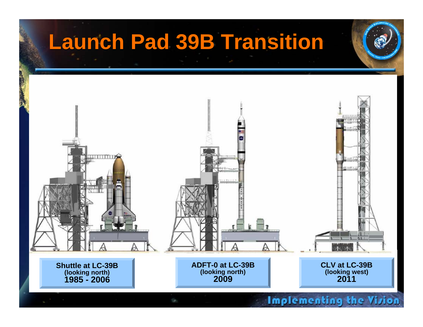